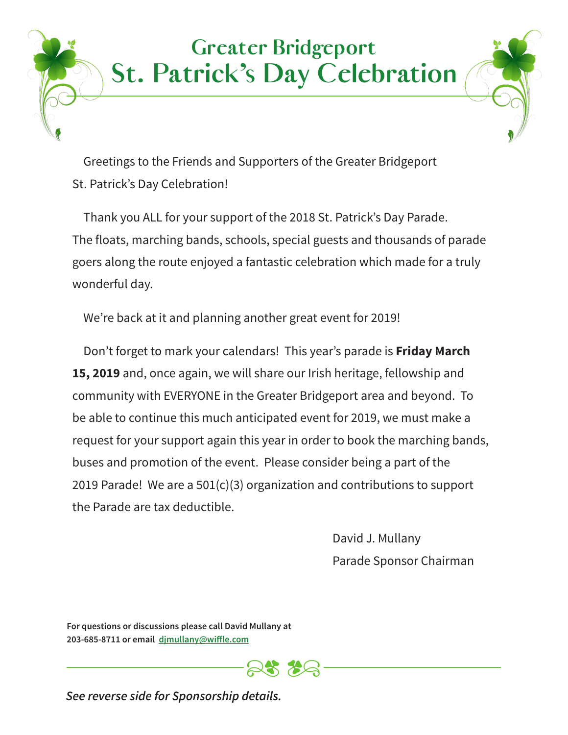## **Greater Bridgeport St. Patrick's Day Celebration**

Greetings to the Friends and Supporters of the Greater Bridgeport St. Patrick's Day Celebration!

Thank you ALL for your support of the 2018 St. Patrick's Day Parade. The floats, marching bands, schools, special guests and thousands of parade goers along the route enjoyed a fantastic celebration which made for a truly wonderful day.

We're back at it and planning another great event for 2019!

Don't forget to mark your calendars! This year's parade is **Friday March 15, 2019** and, once again, we will share our Irish heritage, fellowship and community with EVERYONE in the Greater Bridgeport area and beyond. To be able to continue this much anticipated event for 2019, we must make a request for your support again this year in order to book the marching bands, buses and promotion of the event. Please consider being a part of the 2019 Parade! We are a 501(c)(3) organization and contributions to support the Parade are tax deductible.

> David J. Mullany Parade Sponsor Chairman

**For questions or discussions please call David Mullany at 203-685-8711 or email djmullany@wiffle.com**



*See reverse side for Sponsorship details.*